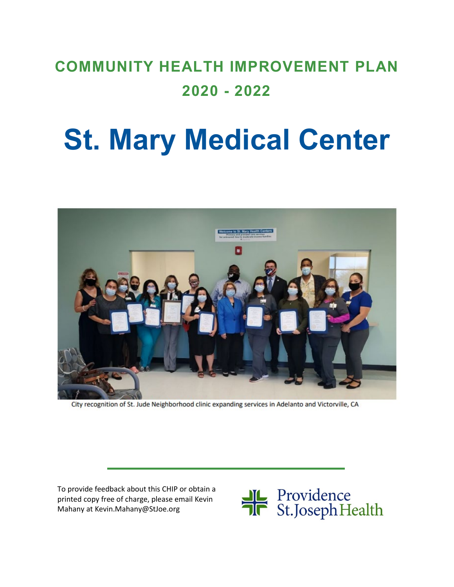# **COMMUNITY HEALTH IMPROVEMENT PLAN 2020 - 2022**

# **St. Mary Medical Center**



City recognition of St. Jude Neighborhood clinic expanding services in Adelanto and Victorville, CA

To provide feedback about this CHIP or obtain a printed copy free of charge, please email Kevin Mahany at Kevin.Mahany@StJoe.org

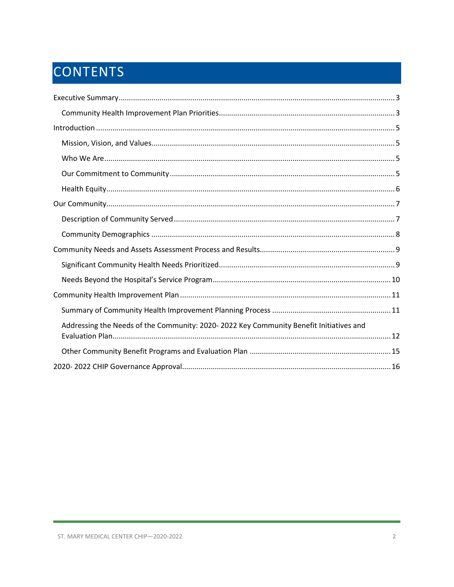# CONTENTS

| Addressing the Needs of the Community: 2020-2022 Key Community Benefit Initiatives and |
|----------------------------------------------------------------------------------------|
|                                                                                        |
|                                                                                        |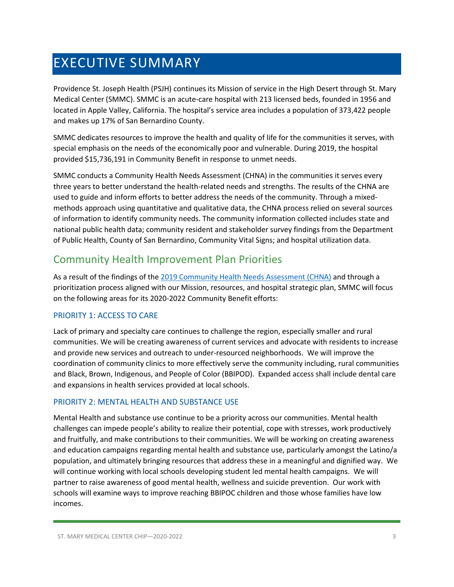### <span id="page-2-0"></span>EXECUTIVE SUMMARY

Providence St. Joseph Health (PSJH) continues its Mission of service in the High Desert through St. Mary Medical Center (SMMC). SMMC is an acute-care hospital with 213 licensed beds, founded in 1956 and located in Apple Valley, California. The hospital's service area includes a population of 373,422 people and makes up 17% of San Bernardino County.

SMMC dedicates resources to improve the health and quality of life for the communities it serves, with special emphasis on the needs of the economically poor and vulnerable. During 2019, the hospital provided \$15,736,191 in Community Benefit in response to unmet needs.

SMMC conducts a Community Health Needs Assessment (CHNA) in the communities it serves every three years to better understand the health-related needs and strengths. The results of the CHNA are used to guide and inform efforts to better address the needs of the community. Through a mixedmethods approach using quantitative and qualitative data, the CHNA process relied on several sources of information to identify community needs. The community information collected includes state and national public health data; community resident and stakeholder survey findings from the Department of Public Health, County of San Bernardino, Community Vital Signs; and hospital utilization data.

### <span id="page-2-1"></span>Community Health Improvement Plan Priorities

As a result of the findings of the [2019 Community Health Needs Assessment \(CHNA\)](https://www.providence.org/-/media/Project/psjh/providence/socal/Files/about/community-benefit/reports/2019chna-stmarymedicalcenterhd.pdf?la=en&hash=A47FA1C98FFE74713B665B61F41A71D0) and through a prioritization process aligned with our Mission, resources, and hospital strategic plan, SMMC will focus on the following areas for its 2020-2022 Community Benefit efforts:

### PRIORITY 1: ACCESS TO CARE

Lack of primary and specialty care continues to challenge the region, especially smaller and rural communities. We will be creating awareness of current services and advocate with residents to increase and provide new services and outreach to under-resourced neighborhoods. We will improve the coordination of community clinics to more effectively serve the community including, rural communities and Black, Brown, Indigenous, and People of Color (BBIPOD). Expanded access shall include dental care and expansions in health services provided at local schools.

### PRIORITY 2: MENTAL HEALTH AND SUBSTANCE USE

Mental Health and substance use continue to be a priority across our communities. Mental health challenges can impede people's ability to realize their potential, cope with stresses, work productively and fruitfully, and make contributions to their communities. We will be working on creating awareness and education campaigns regarding mental health and substance use, particularly amongst the Latino/a population, and ultimately bringing resources that address these in a meaningful and dignified way. We will continue working with local schools developing student led mental health campaigns. We will partner to raise awareness of good mental health, wellness and suicide prevention. Our work with schools will examine ways to improve reaching BBIPOC children and those whose families have low incomes.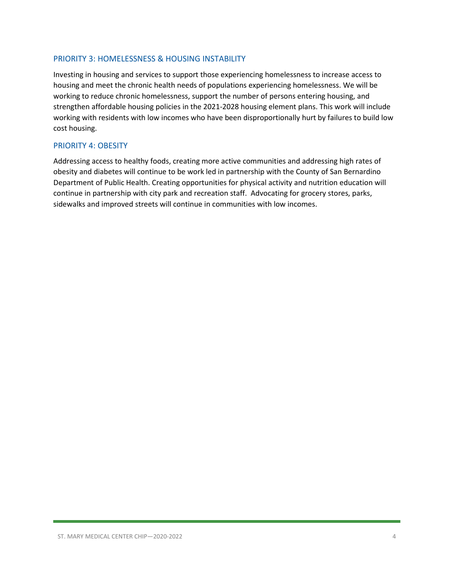### PRIORITY 3: HOMELESSNESS & HOUSING INSTABILITY

Investing in housing and services to support those experiencing homelessness to increase access to housing and meet the chronic health needs of populations experiencing homelessness. We will be working to reduce chronic homelessness, support the number of persons entering housing, and strengthen affordable housing policies in the 2021-2028 housing element plans. This work will include working with residents with low incomes who have been disproportionally hurt by failures to build low cost housing.

#### PRIORITY 4: OBESITY

Addressing access to healthy foods, creating more active communities and addressing high rates of obesity and diabetes will continue to be work led in partnership with the County of San Bernardino Department of Public Health. Creating opportunities for physical activity and nutrition education will continue in partnership with city park and recreation staff. Advocating for grocery stores, parks, sidewalks and improved streets will continue in communities with low incomes.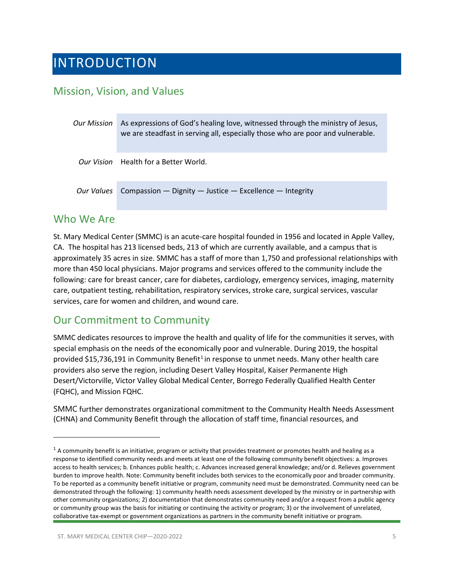### <span id="page-4-0"></span>INTRODUCTION

### <span id="page-4-1"></span>Mission, Vision, and Values

| <b>Our Mission</b> | As expressions of God's healing love, witnessed through the ministry of Jesus,<br>we are steadfast in serving all, especially those who are poor and vulnerable. |  |
|--------------------|------------------------------------------------------------------------------------------------------------------------------------------------------------------|--|
|                    | Our Vision Health for a Better World.                                                                                                                            |  |
| Our Values         | Compassion - Dignity - Justice - Excellence - Integrity                                                                                                          |  |

### <span id="page-4-2"></span>Who We Are

St. Mary Medical Center (SMMC) is an acute-care hospital founded in 1956 and located in Apple Valley, CA. The hospital has 213 licensed beds, 213 of which are currently available, and a campus that is approximately 35 acres in size. SMMC has a staff of more than 1,750 and professional relationships with more than 450 local physicians. Major programs and services offered to the community include the following: care for breast cancer, care for diabetes, cardiology, emergency services, imaging, maternity care, outpatient testing, rehabilitation, respiratory services, stroke care, surgical services, vascular services, care for women and children, and wound care.

### <span id="page-4-3"></span>Our Commitment to Community

SMMC dedicates resources to improve the health and quality of life for the communities it serves, with special emphasis on the needs of the economically poor and vulnerable. During 2019, the hospital provided \$[1](#page-4-4)5,736,191 in Community Benefit<sup>1</sup> in response to unmet needs. Many other health care providers also serve the region, including Desert Valley Hospital, Kaiser Permanente High Desert/Victorville, Victor Valley Global Medical Center, Borrego Federally Qualified Health Center (FQHC), and Mission FQHC.

SMMC further demonstrates organizational commitment to the Community Health Needs Assessment (CHNA) and Community Benefit through the allocation of staff time, financial resources, and

<span id="page-4-4"></span> $1$  A community benefit is an initiative, program or activity that provides treatment or promotes health and healing as a response to identified community needs and meets at least one of the following community benefit objectives: a. Improves access to health services; b. Enhances public health; c. Advances increased general knowledge; and/or d. Relieves government burden to improve health. Note: Community benefit includes both services to the economically poor and broader community. To be reported as a community benefit initiative or program, community need must be demonstrated. Community need can be demonstrated through the following: 1) community health needs assessment developed by the ministry or in partnership with other community organizations; 2) documentation that demonstrates community need and/or a request from a public agency or community group was the basis for initiating or continuing the activity or program; 3) or the involvement of unrelated, collaborative tax-exempt or government organizations as partners in the community benefit initiative or program.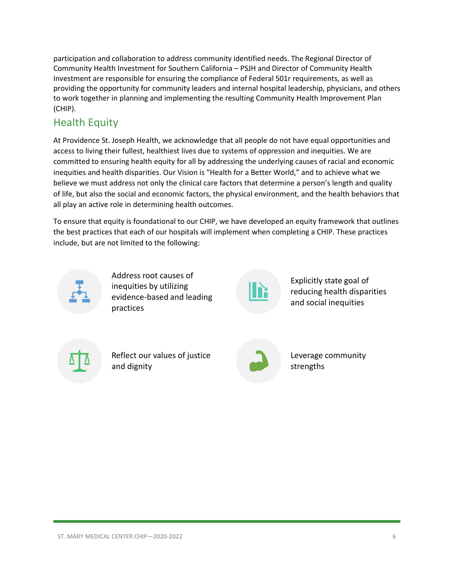participation and collaboration to address community identified needs. The Regional Director of Community Health Investment for Southern California – PSJH and Director of Community Health Investment are responsible for ensuring the compliance of Federal 501r requirements, as well as providing the opportunity for community leaders and internal hospital leadership, physicians, and others to work together in planning and implementing the resulting Community Health Improvement Plan (CHIP).

### <span id="page-5-0"></span>Health Equity

At Providence St. Joseph Health, we acknowledge that all people do not have equal opportunities and access to living their fullest, healthiest lives due to systems of oppression and inequities. We are committed to ensuring health equity for all by addressing the underlying causes of racial and economic inequities and health disparities. Our Vision is "Health for a Better World," and to achieve what we believe we must address not only the clinical care factors that determine a person's length and quality of life, but also the social and economic factors, the physical environment, and the health behaviors that all play an active role in determining health outcomes.

To ensure that equity is foundational to our CHIP, we have developed an equity framework that outlines the best practices that each of our hospitals will implement when completing a CHIP. These practices include, but are not limited to the following:



Address root causes of inequities by utilizing evidence-based and leading practices



Explicitly state goal of reducing health disparities and social inequities

Reflect our values of justice and dignity



Leverage community strengths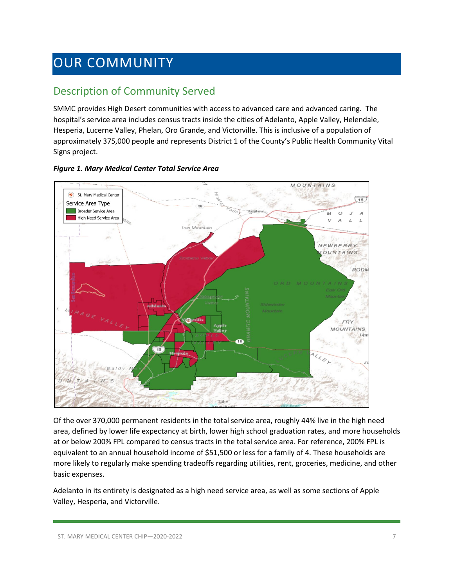### <span id="page-6-0"></span>OUR COMMUNITY

### <span id="page-6-1"></span>Description of Community Served

SMMC provides High Desert communities with access to advanced care and advanced caring. The hospital's service area includes census tracts inside the cities of Adelanto, Apple Valley, Helendale, Hesperia, Lucerne Valley, Phelan, Oro Grande, and Victorville. This is inclusive of a population of approximately 375,000 people and represents District 1 of the County's Public Health Community Vital Signs project.



### *Figure 1. Mary Medical Center Total Service Area*

Of the over 370,000 permanent residents in the total service area, roughly 44% live in the high need area, defined by lower life expectancy at birth, lower high school graduation rates, and more households at or below 200% FPL compared to census tracts in the total service area. For reference, 200% FPL is equivalent to an annual household income of \$51,500 or less for a family of 4. These households are more likely to regularly make spending tradeoffs regarding utilities, rent, groceries, medicine, and other basic expenses.

Adelanto in its entirety is designated as a high need service area, as well as some sections of Apple Valley, Hesperia, and Victorville.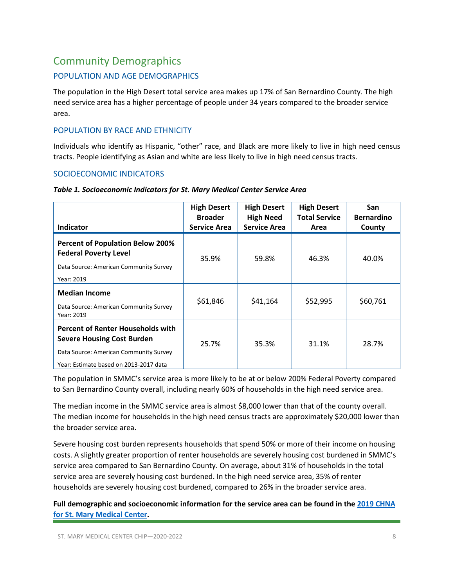### <span id="page-7-0"></span>Community Demographics

### POPULATION AND AGE DEMOGRAPHICS

The population in the High Desert total service area makes up 17% of San Bernardino County. The high need service area has a higher percentage of people under 34 years compared to the broader service area.

### POPULATION BY RACE AND ETHNICITY

Individuals who identify as Hispanic, "other" race, and Black are more likely to live in high need census tracts. People identifying as Asian and white are less likely to live in high need census tracts.

### SOCIOECONOMIC INDICATORS

| Indicator                                                                                                                                                         | <b>High Desert</b><br><b>Broader</b><br><b>Service Area</b> | <b>High Desert</b><br><b>High Need</b><br><b>Service Area</b> | <b>High Desert</b><br><b>Total Service</b><br>Area | San<br><b>Bernardino</b><br>County |
|-------------------------------------------------------------------------------------------------------------------------------------------------------------------|-------------------------------------------------------------|---------------------------------------------------------------|----------------------------------------------------|------------------------------------|
| <b>Percent of Population Below 200%</b><br><b>Federal Poverty Level</b><br>Data Source: American Community Survey<br>Year: 2019                                   | 35.9%                                                       | 59.8%                                                         | 46.3%                                              | 40.0%                              |
| <b>Median Income</b><br>Data Source: American Community Survey<br>Year: 2019                                                                                      | \$61,846                                                    | \$41,164                                                      | \$52,995                                           | \$60,761                           |
| <b>Percent of Renter Households with</b><br><b>Severe Housing Cost Burden</b><br>Data Source: American Community Survey<br>Year: Estimate based on 2013-2017 data | 25.7%                                                       | 35.3%                                                         | 31.1%                                              | 28.7%                              |

#### *Table 1. Socioeconomic Indicators for St. Mary Medical Center Service Area*

The population in SMMC's service area is more likely to be at or below 200% Federal Poverty compared to San Bernardino County overall, including nearly 60% of households in the high need service area.

The median income in the SMMC service area is almost \$8,000 lower than that of the county overall. The median income for households in the high need census tracts are approximately \$20,000 lower than the broader service area.

Severe housing cost burden represents households that spend 50% or more of their income on housing costs. A slightly greater proportion of renter households are severely housing cost burdened in SMMC's service area compared to San Bernardino County. On average, about 31% of households in the total service area are severely housing cost burdened. In the high need service area, 35% of renter households are severely housing cost burdened, compared to 26% in the broader service area.

**Full demographic and socioeconomic information for the service area can be found in the [2019 CHNA](https://www.providence.org/-/media/Project/psjh/providence/socal/Files/about/community-benefit/reports/2019chna-stmarymedicalcenterhd.pdf?la=en&hash=A47FA1C98FFE74713B665B61F41A71D0)  [for St. Mary Medical Center.](https://www.providence.org/-/media/Project/psjh/providence/socal/Files/about/community-benefit/reports/2019chna-stmarymedicalcenterhd.pdf?la=en&hash=A47FA1C98FFE74713B665B61F41A71D0)**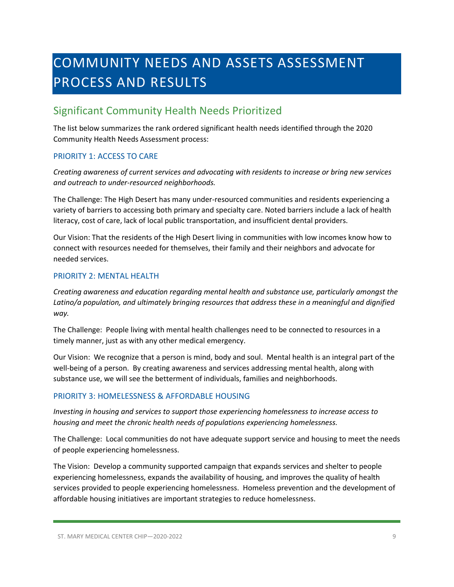## <span id="page-8-0"></span>COMMUNITY NEEDS AND ASSETS ASSESSMENT PROCESS AND RESULTS

### <span id="page-8-1"></span>Significant Community Health Needs Prioritized

The list below summarizes the rank ordered significant health needs identified through the 2020 Community Health Needs Assessment process:

### PRIORITY 1: ACCESS TO CARE

*Creating awareness of current services and advocating with residents to increase or bring new services and outreach to under-resourced neighborhoods.*

The Challenge: The High Desert has many under-resourced communities and residents experiencing a variety of barriers to accessing both primary and specialty care. Noted barriers include a lack of health literacy, cost of care, lack of local public transportation, and insufficient dental providers.

Our Vision: That the residents of the High Desert living in communities with low incomes know how to connect with resources needed for themselves, their family and their neighbors and advocate for needed services.

### PRIORITY 2: MENTAL HEALTH

*Creating awareness and education regarding mental health and substance use, particularly amongst the Latino/a population, and ultimately bringing resources that address these in a meaningful and dignified way.*

The Challenge: People living with mental health challenges need to be connected to resources in a timely manner, just as with any other medical emergency.

Our Vision: We recognize that a person is mind, body and soul. Mental health is an integral part of the well-being of a person. By creating awareness and services addressing mental health, along with substance use, we will see the betterment of individuals, families and neighborhoods.

### PRIORITY 3: HOMELESSNESS & AFFORDABLE HOUSING

*Investing in housing and services to support those experiencing homelessness to increase access to housing and meet the chronic health needs of populations experiencing homelessness.* 

The Challenge: Local communities do not have adequate support service and housing to meet the needs of people experiencing homelessness.

The Vision: Develop a community supported campaign that expands services and shelter to people experiencing homelessness, expands the availability of housing, and improves the quality of health services provided to people experiencing homelessness. Homeless prevention and the development of affordable housing initiatives are important strategies to reduce homelessness.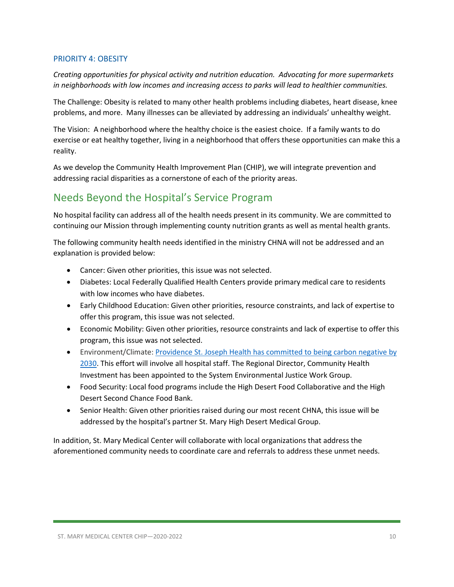### PRIORITY 4: OBESITY

*Creating opportunities for physical activity and nutrition education. Advocating for more supermarkets in neighborhoods with low incomes and increasing access to parks will lead to healthier communities.* 

The Challenge: Obesity is related to many other health problems including diabetes, heart disease, knee problems, and more. Many illnesses can be alleviated by addressing an individuals' unhealthy weight.

The Vision: A neighborhood where the healthy choice is the easiest choice. If a family wants to do exercise or eat healthy together, living in a neighborhood that offers these opportunities can make this a reality.

As we develop the Community Health Improvement Plan (CHIP), we will integrate prevention and addressing racial disparities as a cornerstone of each of the priority areas.

### <span id="page-9-0"></span>Needs Beyond the Hospital's Service Program

No hospital facility can address all of the health needs present in its community. We are committed to continuing our Mission through implementing county nutrition grants as well as mental health grants.

The following community health needs identified in the ministry CHNA will not be addressed and an explanation is provided below:

- Cancer: Given other priorities, this issue was not selected.
- Diabetes: Local Federally Qualified Health Centers provide primary medical care to residents with low incomes who have diabetes.
- Early Childhood Education: Given other priorities, resource constraints, and lack of expertise to offer this program, this issue was not selected.
- Economic Mobility: Given other priorities, resource constraints and lack of expertise to offer this program, this issue was not selected.
- Environment/Climate: [Providence St. Joseph Health has committed to](https://www.providence.org/about/community-partnerships/work-we-do/government-affairs-and-social-responsibility/environmental-stewardship/our-commitment-to-environmental-transformation) being carbon negative by [2030.](https://www.providence.org/about/community-partnerships/work-we-do/government-affairs-and-social-responsibility/environmental-stewardship/our-commitment-to-environmental-transformation) This effort will involve all hospital staff. The Regional Director, Community Health Investment has been appointed to the System Environmental Justice Work Group.
- Food Security: Local food programs include the High Desert Food Collaborative and the High Desert Second Chance Food Bank.
- Senior Health: Given other priorities raised during our most recent CHNA, this issue will be addressed by the hospital's partner St. Mary High Desert Medical Group.

In addition, St. Mary Medical Center will collaborate with local organizations that address the aforementioned community needs to coordinate care and referrals to address these unmet needs.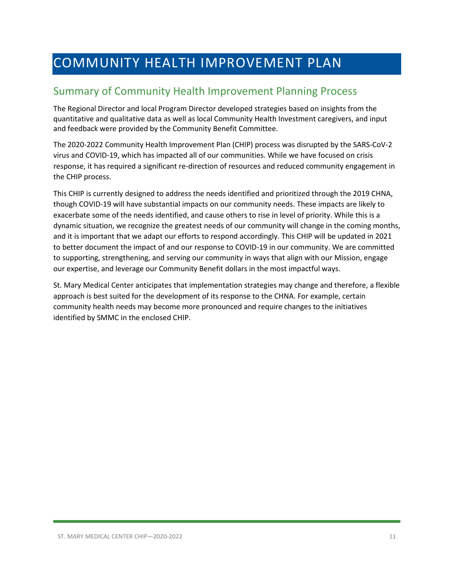### <span id="page-10-0"></span>COMMUNITY HEALTH IMPROVEMENT PLAN

### <span id="page-10-1"></span>Summary of Community Health Improvement Planning Process

The Regional Director and local Program Director developed strategies based on insights from the quantitative and qualitative data as well as local Community Health Investment caregivers, and input and feedback were provided by the Community Benefit Committee.

The 2020-2022 Community Health Improvement Plan (CHIP) process was disrupted by the SARS-CoV-2 virus and COVID-19, which has impacted all of our communities. While we have focused on crisis response, it has required a significant re-direction of resources and reduced community engagement in the CHIP process.

This CHIP is currently designed to address the needs identified and prioritized through the 2019 CHNA, though COVID-19 will have substantial impacts on our community needs. These impacts are likely to exacerbate some of the needs identified, and cause others to rise in level of priority. While this is a dynamic situation, we recognize the greatest needs of our community will change in the coming months, and it is important that we adapt our efforts to respond accordingly. This CHIP will be updated in 2021 to better document the impact of and our response to COVID-19 in our community. We are committed to supporting, strengthening, and serving our community in ways that align with our Mission, engage our expertise, and leverage our Community Benefit dollars in the most impactful ways.

St. Mary Medical Center anticipates that implementation strategies may change and therefore, a flexible approach is best suited for the development of its response to the CHNA. For example, certain community health needs may become more pronounced and require changes to the initiatives identified by SMMC in the enclosed CHIP.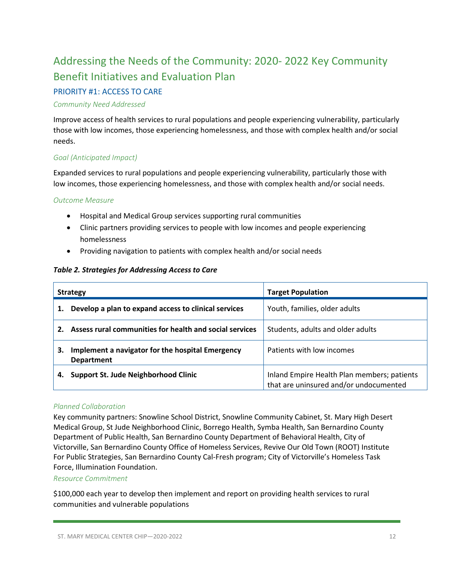### <span id="page-11-0"></span>Addressing the Needs of the Community: 2020- 2022 Key Community Benefit Initiatives and Evaluation Plan

### PRIORITY #1: ACCESS TO CARE

### *Community Need Addressed*

Improve access of health services to rural populations and people experiencing vulnerability, particularly those with low incomes, those experiencing homelessness, and those with complex health and/or social needs.

### *Goal (Anticipated Impact)*

Expanded services to rural populations and people experiencing vulnerability, particularly those with low incomes, those experiencing homelessness, and those with complex health and/or social needs.

### *Outcome Measure*

- Hospital and Medical Group services supporting rural communities
- Clinic partners providing services to people with low incomes and people experiencing homelessness
- Providing navigation to patients with complex health and/or social needs

### *Table 2. Strategies for Addressing Access to Care*

|    | <b>Strategy</b>                                                       | <b>Target Population</b>                                                              |
|----|-----------------------------------------------------------------------|---------------------------------------------------------------------------------------|
| 1. | Develop a plan to expand access to clinical services                  | Youth, families, older adults                                                         |
| 2. | Assess rural communities for health and social services               | Students, adults and older adults                                                     |
| 3. | Implement a navigator for the hospital Emergency<br><b>Department</b> | Patients with low incomes                                                             |
|    | Support St. Jude Neighborhood Clinic                                  | Inland Empire Health Plan members; patients<br>that are uninsured and/or undocumented |

### *Planned Collaboration*

Key community partners: Snowline School District, Snowline Community Cabinet, St. Mary High Desert Medical Group, St Jude Neighborhood Clinic, Borrego Health, Symba Health, San Bernardino County Department of Public Health, San Bernardino County Department of Behavioral Health, City of Victorville, San Bernardino County Office of Homeless Services, Revive Our Old Town (ROOT) Institute For Public Strategies, San Bernardino County Cal-Fresh program; City of Victorville's Homeless Task Force, Illumination Foundation.

### *Resource Commitment*

\$100,000 each year to develop then implement and report on providing health services to rural communities and vulnerable populations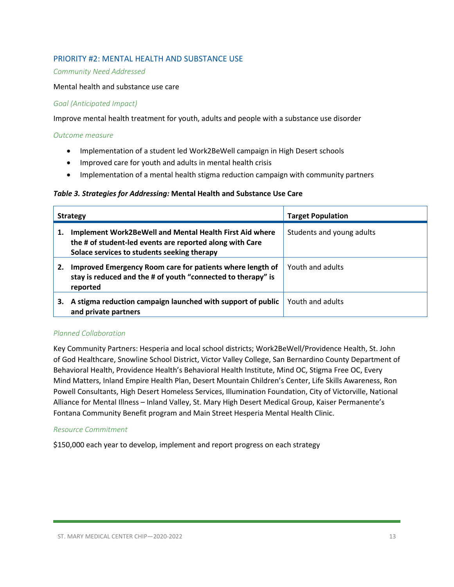### PRIORITY #2: MENTAL HEALTH AND SUBSTANCE USE

#### *Community Need Addressed*

#### Mental health and substance use care

#### *Goal (Anticipated Impact)*

Improve mental health treatment for youth, adults and people with a substance use disorder

#### *Outcome measure*

- Implementation of a student led Work2BeWell campaign in High Desert schools
- Improved care for youth and adults in mental health crisis
- Implementation of a mental health stigma reduction campaign with community partners

#### *Table 3. Strategies for Addressing:* **Mental Health and Substance Use Care**

|    | <b>Strategy</b>                                                                                                                                                           | <b>Target Population</b>  |
|----|---------------------------------------------------------------------------------------------------------------------------------------------------------------------------|---------------------------|
| 1. | <b>Implement Work2BeWell and Mental Health First Aid where</b><br>the # of student-led events are reported along with Care<br>Solace services to students seeking therapy | Students and young adults |
| 2. | Improved Emergency Room care for patients where length of<br>stay is reduced and the # of youth "connected to therapy" is<br>reported                                     | Youth and adults          |
| З. | A stigma reduction campaign launched with support of public<br>and private partners                                                                                       | Youth and adults          |

#### *Planned Collaboration*

Key Community Partners: Hesperia and local school districts; Work2BeWell/Providence Health, St. John of God Healthcare, Snowline School District, Victor Valley College, San Bernardino County Department of Behavioral Health, Providence Health's Behavioral Health Institute, Mind OC, Stigma Free OC, Every Mind Matters, Inland Empire Health Plan, Desert Mountain Children's Center, Life Skills Awareness, Ron Powell Consultants, High Desert Homeless Services, Illumination Foundation, City of Victorville, National Alliance for Mental Illness – Inland Valley, St. Mary High Desert Medical Group, Kaiser Permanente's Fontana Community Benefit program and Main Street Hesperia Mental Health Clinic.

#### *Resource Commitment*

\$150,000 each year to develop, implement and report progress on each strategy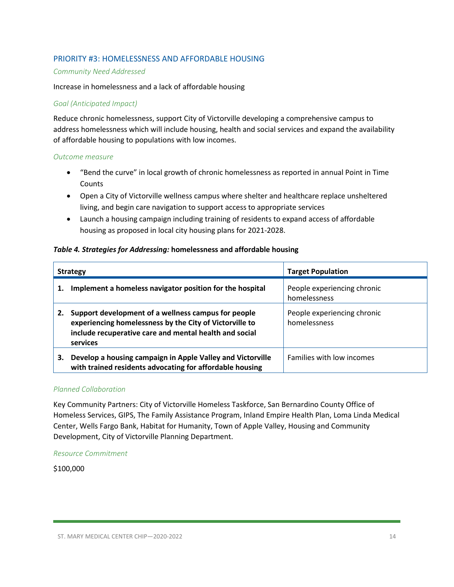### PRIORITY #3: HOMELESSNESS AND AFFORDABLE HOUSING

#### *Community Need Addressed*

#### Increase in homelessness and a lack of affordable housing

#### *Goal (Anticipated Impact)*

Reduce chronic homelessness, support City of Victorville developing a comprehensive campus to address homelessness which will include housing, health and social services and expand the availability of affordable housing to populations with low incomes.

#### *Outcome measure*

- "Bend the curve" in local growth of chronic homelessness as reported in annual Point in Time Counts
- Open a City of Victorville wellness campus where shelter and healthcare replace unsheltered living, and begin care navigation to support access to appropriate services
- Launch a housing campaign including training of residents to expand access of affordable housing as proposed in local city housing plans for 2021-2028.

#### *Table 4. Strategies for Addressing:* **homelessness and affordable housing**

| <b>Strategy</b> |                                                                                                                                                                                      | <b>Target Population</b>                    |
|-----------------|--------------------------------------------------------------------------------------------------------------------------------------------------------------------------------------|---------------------------------------------|
| 1.              | Implement a homeless navigator position for the hospital                                                                                                                             | People experiencing chronic<br>homelessness |
| 2.              | Support development of a wellness campus for people<br>experiencing homelessness by the City of Victorville to<br>include recuperative care and mental health and social<br>services | People experiencing chronic<br>homelessness |
| 3.              | Develop a housing campaign in Apple Valley and Victorville<br>with trained residents advocating for affordable housing                                                               | Families with low incomes                   |

### *Planned Collaboration*

Key Community Partners: City of Victorville Homeless Taskforce, San Bernardino County Office of Homeless Services, GIPS, The Family Assistance Program, Inland Empire Health Plan, Loma Linda Medical Center, Wells Fargo Bank, Habitat for Humanity, Town of Apple Valley, Housing and Community Development, City of Victorville Planning Department.

#### *Resource Commitment*

### \$100,000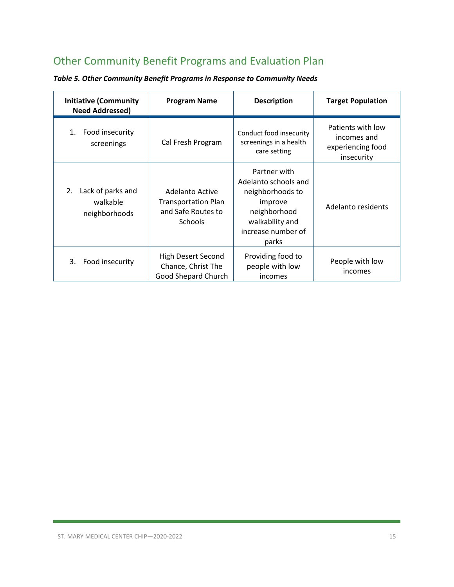### <span id="page-14-0"></span>Other Community Benefit Programs and Evaluation Plan

| <b>Initiative (Community</b><br><b>Need Addressed)</b> | <b>Program Name</b>                                                                   | <b>Description</b>                                                                                                                    | <b>Target Population</b>                                            |
|--------------------------------------------------------|---------------------------------------------------------------------------------------|---------------------------------------------------------------------------------------------------------------------------------------|---------------------------------------------------------------------|
| Food insecurity<br>1.<br>screenings                    | Cal Fresh Program                                                                     | Conduct food insecurity<br>screenings in a health<br>care setting                                                                     | Patients with low<br>incomes and<br>experiencing food<br>insecurity |
| Lack of parks and<br>2.<br>walkable<br>neighborhoods   | Adelanto Active<br><b>Transportation Plan</b><br>and Safe Routes to<br><b>Schools</b> | Partner with<br>Adelanto schools and<br>neighborhoods to<br>improve<br>neighborhood<br>walkability and<br>increase number of<br>parks | Adelanto residents                                                  |
| Food insecurity<br>3.                                  | High Desert Second<br>Chance, Christ The<br>Good Shepard Church                       | Providing food to<br>people with low<br>incomes                                                                                       | People with low<br>incomes                                          |

*Table 5. Other Community Benefit Programs in Response to Community Needs*